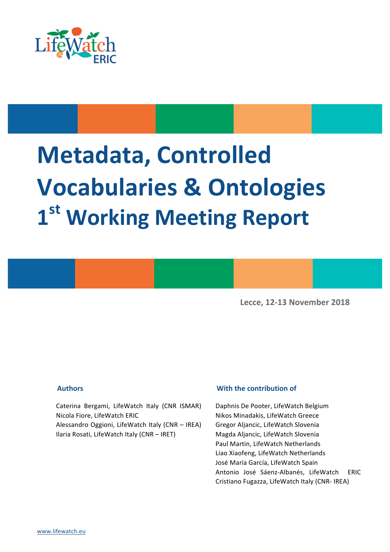

# **Metadata, Controlled Vocabularies & Ontologies 1st Working Meeting Report**

**Lecce, 12-13 November 2018**

Caterina Bergami, LifeWatch Italy (CNR ISMAR) Nicola Fiore, LifeWatch ERIC

Alessandro Oggioni, LifeWatch Italy (CNR - IREA) Ilaria Rosati, LifeWatch Italy (CNR - IRET)

#### **Authors** *With the contribution of*

Daphnis De Pooter, LifeWatch Belgium Nikos Minadakis, LifeWatch Greece Gregor Aljancic, LifeWatch Slovenia Magda Aljancic, LifeWatch Slovenia Paul Martin, LifeWatch Netherlands Liao Xiaofeng, LifeWatch Netherlands José María García, LifeWatch Spain Antonio José Sáenz-Albanés, LifeWatch ERIC Cristiano Fugazza, LifeWatch Italy (CNR- IREA)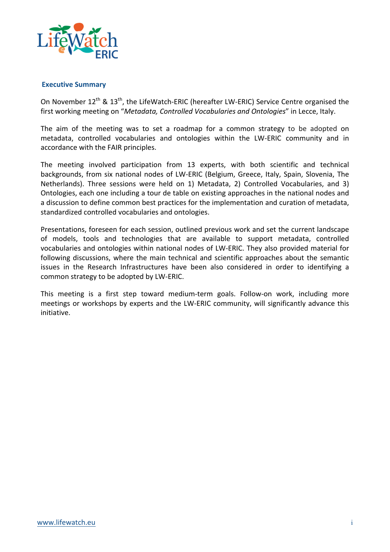

#### **Executive Summary**

On November  $12^{th}$  &  $13^{th}$ , the LifeWatch-ERIC (hereafter LW-ERIC) Service Centre organised the first working meeting on "Metadata, Controlled Vocabularies and Ontologies" in Lecce, Italy.

The aim of the meeting was to set a roadmap for a common strategy to be adopted on metadata, controlled vocabularies and ontologies within the LW-ERIC community and in accordance with the FAIR principles.

The meeting involved participation from 13 experts, with both scientific and technical backgrounds, from six national nodes of LW-ERIC (Belgium, Greece, Italy, Spain, Slovenia, The Netherlands). Three sessions were held on 1) Metadata, 2) Controlled Vocabularies, and 3) Ontologies, each one including a tour de table on existing approaches in the national nodes and a discussion to define common best practices for the implementation and curation of metadata, standardized controlled vocabularies and ontologies.

Presentations, foreseen for each session, outlined previous work and set the current landscape of models, tools and technologies that are available to support metadata, controlled vocabularies and ontologies within national nodes of LW-ERIC. They also provided material for following discussions, where the main technical and scientific approaches about the semantic issues in the Research Infrastructures have been also considered in order to identifying a common strategy to be adopted by LW-ERIC.

This meeting is a first step toward medium-term goals. Follow-on work, including more meetings or workshops by experts and the LW-ERIC community, will significantly advance this initiative.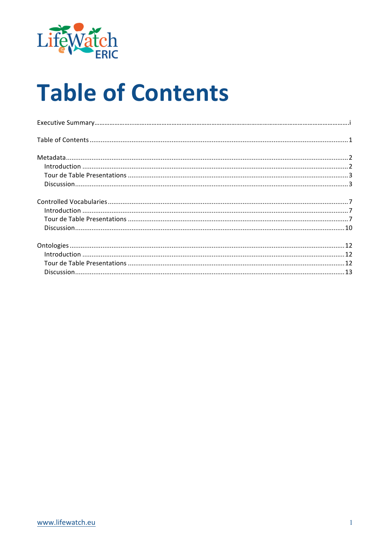

## **Table of Contents**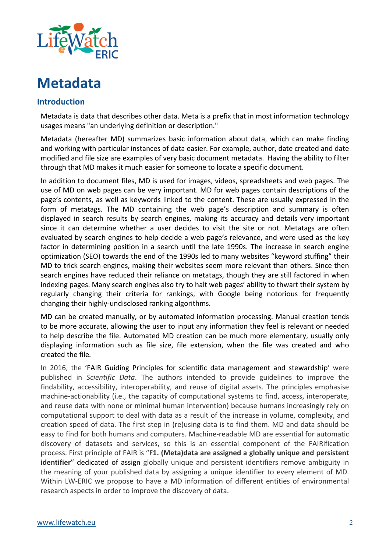

### **Metadata**

#### **Introduction**

Metadata is data that describes other data. Meta is a prefix that in most information technology usages means "an underlying definition or description."

Metadata (hereafter MD) summarizes basic information about data, which can make finding and working with particular instances of data easier. For example, author, date created and date modified and file size are examples of very basic document metadata. Having the ability to filter through that MD makes it much easier for someone to locate a specific document.

In addition to document files, MD is used for images, videos, spreadsheets and web pages. The use of MD on web pages can be very important. MD for web pages contain descriptions of the page's contents, as well as keywords linked to the content. These are usually expressed in the form of metatags. The MD containing the web page's description and summary is often displayed in search results by search engines, making its accuracy and details very important since it can determine whether a user decides to visit the site or not. Metatags are often evaluated by search engines to help decide a web page's relevance, and were used as the key factor in determining position in a search until the late 1990s. The increase in search engine optimization (SEO) towards the end of the 1990s led to many websites "keyword stuffing" their MD to trick search engines, making their websites seem more relevant than others. Since then search engines have reduced their reliance on metatags, though they are still factored in when indexing pages. Many search engines also try to halt web pages' ability to thwart their system by regularly changing their criteria for rankings, with Google being notorious for frequently changing their highly-undisclosed ranking algorithms.

MD can be created manually, or by automated information processing. Manual creation tends to be more accurate, allowing the user to input any information they feel is relevant or needed to help describe the file. Automated MD creation can be much more elementary, usually only displaying information such as file size, file extension, when the file was created and who created the file.

In 2016, the 'FAIR Guiding Principles for scientific data management and stewardship' were published in *Scientific Data*. The authors intended to provide guidelines to improve the findability, accessibility, interoperability, and reuse of digital assets. The principles emphasise machine-actionability (i.e., the capacity of computational systems to find, access, interoperate, and reuse data with none or minimal human intervention) because humans increasingly rely on computational support to deal with data as a result of the increase in volume, complexity, and creation speed of data. The first step in (re)using data is to find them. MD and data should be easy to find for both humans and computers. Machine-readable MD are essential for automatic discovery of datasets and services, so this is an essential component of the FAIRification process. First principle of FAIR is "F1. (Meta)data are assigned a globally unique and persistent **identifier**" dedicated of assign globally unique and persistent identifiers remove ambiguity in the meaning of your published data by assigning a unique identifier to every element of MD. Within LW-ERIC we propose to have a MD information of different entities of environmental research aspects in order to improve the discovery of data.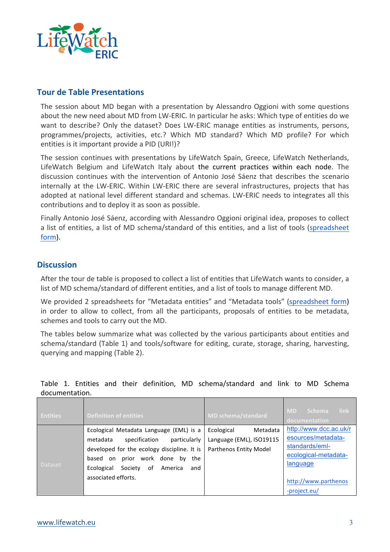

#### **Tour de Table Presentations**

The session about MD began with a presentation by Alessandro Oggioni with some questions about the new need about MD from LW-ERIC. In particular he asks: Which type of entities do we want to describe? Only the dataset? Does LW-ERIC manage entities as instruments, persons, programmes/projects, activities, etc.? Which MD standard? Which MD profile? For which entities is it important provide a PID (URI!)?

The session continues with presentations by LifeWatch Spain, Greece, LifeWatch Netherlands, LifeWatch Belgium and LifeWatch Italy about the current practices within each node. The discussion continues with the intervention of Antonio José Sáenz that describes the scenario internally at the LW-ERIC. Within LW-ERIC there are several infrastructures, projects that has adopted at national level different standard and schemas. LW-ERIC needs to integrates all this contributions and to deploy it as soon as possible.

Finally Antonio José Sáenz, according with Alessandro Oggioni original idea, proposes to collect a list of entities, a list of MD schema/standard of this entities, and a list of tools (spreadsheet form).

#### **Discussion**

After the tour de table is proposed to collect a list of entities that LifeWatch wants to consider, a list of MD schema/standard of different entities, and a list of tools to manage different MD.

We provided 2 spreadsheets for "Metadata entities" and "Metadata tools" (spreadsheet form) in order to allow to collect, from all the participants, proposals of entities to be metadata, schemes and tools to carry out the MD.

The tables below summarize what was collected by the various participants about entities and schema/standard (Table 1) and tools/software for editing, curate, storage, sharing, harvesting, querying and mapping (Table 2).

| <b>Entities</b> | <b>Definition of entities</b>                                                                                                                                                                                                                           | <b>MD schema/standard</b>                                                           | link<br><b>MD</b><br><b>Schema</b><br>documentation                                                                                        |
|-----------------|---------------------------------------------------------------------------------------------------------------------------------------------------------------------------------------------------------------------------------------------------------|-------------------------------------------------------------------------------------|--------------------------------------------------------------------------------------------------------------------------------------------|
| <b>Dataset</b>  | Ecological Metadata Language (EML) is a<br>particularly<br>specification<br>metadata<br>developed for the ecology discipline. It is<br>prior work done by<br>based<br>the<br>on<br>Ecological<br>Society<br>0f<br>America<br>and<br>associated efforts. | Ecological<br>Metadata<br>Language (EML), ISO19115<br><b>Parthenos Entity Model</b> | http://www.dcc.ac.uk/r<br>esources/metadata-<br>standards/eml-<br>ecological-metadata-<br>language<br>http://www.parthenos<br>-project.eu/ |

Table 1. Entities and their definition, MD schema/standard and link to MD Schema documentation.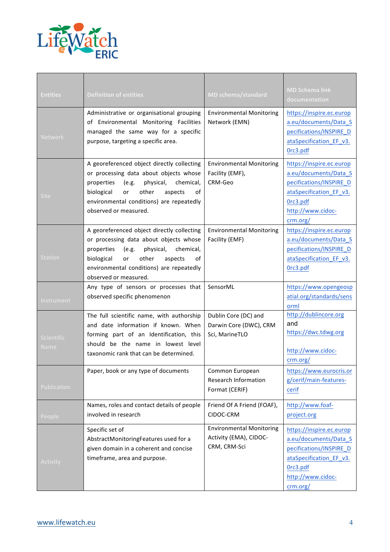

| <b>Entities</b>                  | <b>Definition of entities</b>                                                                                                                                                                                                                                   | <b>MD schema/standard</b>                                                 | <b>MD Schema link</b><br>documentation                                                                                                               |
|----------------------------------|-----------------------------------------------------------------------------------------------------------------------------------------------------------------------------------------------------------------------------------------------------------------|---------------------------------------------------------------------------|------------------------------------------------------------------------------------------------------------------------------------------------------|
| <b>Network</b>                   | Administrative or organisational grouping<br>of Environmental Monitoring Facilities<br>managed the same way for a specific<br>purpose, targeting a specific area.                                                                                               | <b>Environmental Monitoring</b><br>Network (EMN)                          | https://inspire.ec.europ<br>a.eu/documents/Data_S<br>pecifications/INSPIRE_D<br>ataSpecification EF v3.<br>Orc3.pdf                                  |
| <b>Site</b>                      | A georeferenced object directly collecting<br>or processing data about objects whose<br>physical,<br>chemical,<br>properties<br>(e.g.<br>other<br>biological<br>aspects<br>οf<br><b>or</b><br>environmental conditions) are repeatedly<br>observed or measured. | <b>Environmental Monitoring</b><br>Facility (EMF),<br>CRM-Geo             | https://inspire.ec.europ<br>a.eu/documents/Data_S<br>pecifications/INSPIRE_D<br>ataSpecification_EF_v3.<br>Orc3.pdf<br>http://www.cidoc-<br>crm.org/ |
| <b>Station</b>                   | A georeferenced object directly collecting<br>or processing data about objects whose<br>physical,<br>chemical,<br>properties<br>(e.g.<br>biological<br>other<br>aspects<br>οf<br>or<br>environmental conditions) are repeatedly<br>observed or measured.        | <b>Environmental Monitoring</b><br>Facility (EMF)                         | https://inspire.ec.europ<br>a.eu/documents/Data S<br>pecifications/INSPIRE_D<br>ataSpecification_EF_v3.<br>Orc3.pdf                                  |
| Instrument                       | Any type of sensors or processes that<br>observed specific phenomenon                                                                                                                                                                                           | SensorML                                                                  | https://www.opengeosp<br>atial.org/standards/sens<br>orml                                                                                            |
| <b>Scientific</b><br><b>Name</b> | The full scientific name, with authorship<br>and date information if known. When<br>forming part of an Identification, this<br>should be the name in lowest level<br>taxonomic rank that can be determined.                                                     | Dublin Core (DC) and<br>Darwin Core (DWC), CRM<br>Sci, MarineTLO          | http://dublincore.org<br>and<br>https://dwc.tdwg.org<br>http://www.cidoc-<br>crm.org/                                                                |
| Publication                      | Paper, book or any type of documents                                                                                                                                                                                                                            | Common European<br><b>Research Information</b><br>Format (CERIF)          | https://www.eurocris.or<br>g/cerif/main-features-<br>cerif                                                                                           |
| People                           | Names, roles and contact details of people<br>involved in research                                                                                                                                                                                              | Friend Of A Friend (FOAF),<br>CIDOC-CRM                                   | http://www.foaf-<br>project.org                                                                                                                      |
| Activity                         | Specific set of<br>AbstractMonitoringFeatures used for a<br>given domain in a coherent and concise<br>timeframe, area and purpose.                                                                                                                              | <b>Environmental Monitoring</b><br>Activity (EMA), CIDOC-<br>CRM, CRM-Sci | https://inspire.ec.europ<br>a.eu/documents/Data_S<br>pecifications/INSPIRE D<br>ataSpecification_EF_v3.<br>Orc3.pdf<br>http://www.cidoc-<br>crm.org/ |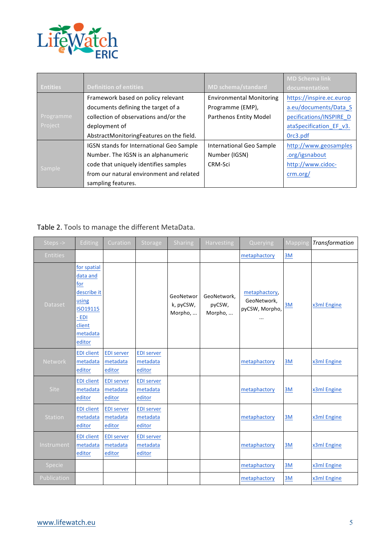

|                 |                                          |                                 | <b>MD Schema link</b>    |  |
|-----------------|------------------------------------------|---------------------------------|--------------------------|--|
| <b>Entities</b> | <b>Definition of entities</b>            | <b>MD schema/standard</b>       | documentation            |  |
|                 | Framework based on policy relevant       | <b>Environmental Monitoring</b> | https://inspire.ec.europ |  |
|                 | documents defining the target of a       | Programme (EMP),                | a.eu/documents/Data S    |  |
| Programme       | collection of observations and/or the    | <b>Parthenos Entity Model</b>   | pecifications/INSPIRE D  |  |
| Project         | deployment of                            |                                 | ataSpecification EF v3.  |  |
|                 | AbstractMonitoringFeatures on the field. |                                 | Orc3.pdf                 |  |
|                 | IGSN stands for International Geo Sample | International Geo Sample        | http://www.geosamples    |  |
|                 | Number. The IGSN is an alphanumeric      | Number (IGSN)                   | .org/igsnabout           |  |
|                 | code that uniquely identifies samples    | CRM-Sci                         | http://www.cidoc-        |  |
| Sample          | from our natural environment and related |                                 | crm.org/                 |  |
|                 | sampling features.                       |                                 |                          |  |

### Table 2. Tools to manage the different MetaData.

| Steps ->        | Editing                                                                                                     | Curation                                | <b>Storage</b>                          | <b>Sharing</b>                    | <b>Harvesting</b>                | Querying                                                   | Mapping | Transformation |
|-----------------|-------------------------------------------------------------------------------------------------------------|-----------------------------------------|-----------------------------------------|-----------------------------------|----------------------------------|------------------------------------------------------------|---------|----------------|
| <b>Entities</b> |                                                                                                             |                                         |                                         |                                   |                                  | metaphactory                                               | 3M      |                |
| <b>Dataset</b>  | for spatial<br>data and<br>for<br>describe it<br>using<br>ISO19115<br>- EDI<br>client<br>metadata<br>editor |                                         |                                         | GeoNetwor<br>k, pyCSW,<br>Morpho, | GeoNetwork,<br>pyCSW,<br>Morpho, | metaphactory,<br>GeoNetwork,<br>pyCSW, Morpho,<br>$\cdots$ | 3M      | x3ml Engine    |
| <b>Network</b>  | <b>EDI</b> client<br>metadata<br>editor                                                                     | <b>EDI server</b><br>metadata<br>editor | <b>EDI server</b><br>metadata<br>editor |                                   |                                  | metaphactory                                               | 3M      | x3ml Engine    |
| <b>Site</b>     | <b>EDI</b> client<br>metadata<br>editor                                                                     | <b>EDI server</b><br>metadata<br>editor | <b>EDI server</b><br>metadata<br>editor |                                   |                                  | metaphactory                                               | 3M      | x3ml Engine    |
| <b>Station</b>  | <b>EDI</b> client<br>metadata<br>editor                                                                     | <b>EDI server</b><br>metadata<br>editor | <b>EDI server</b><br>metadata<br>editor |                                   |                                  | metaphactory                                               | 3M      | x3ml Engine    |
| Instrument      | <b>EDI</b> client<br>metadata<br>editor                                                                     | <b>EDI server</b><br>metadata<br>editor | <b>EDI server</b><br>metadata<br>editor |                                   |                                  | metaphactory                                               | 3M      | x3ml Engine    |
| Specie          |                                                                                                             |                                         |                                         |                                   |                                  | metaphactory                                               | 3M      | x3ml Engine    |
| Publication     |                                                                                                             |                                         |                                         |                                   |                                  | metaphactory                                               | 3M      | x3ml Engine    |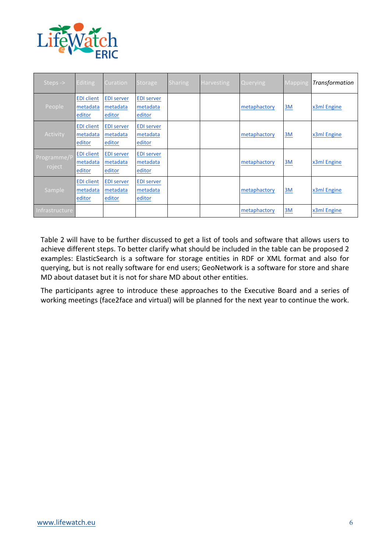

| Steps ->              | <b>Editing</b>                          | <b>Curation</b>                         | <b>Storage</b>                          | <b>Sharing</b> | <b>Harvesting</b> | <b>Querying</b> | <b>Mapping</b> | Transformation |
|-----------------------|-----------------------------------------|-----------------------------------------|-----------------------------------------|----------------|-------------------|-----------------|----------------|----------------|
| People                | <b>EDI</b> client<br>metadata<br>editor | <b>EDI server</b><br>metadata<br>editor | <b>EDI server</b><br>metadata<br>editor |                |                   | metaphactory    | 3M             | x3ml Engine    |
| Activity              | <b>EDI</b> client<br>metadata<br>editor | <b>EDI server</b><br>metadata<br>editor | <b>EDI server</b><br>metadata<br>editor |                |                   | metaphactory    | 3M             | x3ml Engine    |
| Programme/P<br>roject | <b>EDI</b> client<br>metadata<br>editor | <b>EDI server</b><br>metadata<br>editor | <b>EDI server</b><br>metadata<br>editor |                |                   | metaphactory    | 3M             | x3ml Engine    |
| Sample                | <b>EDI</b> client<br>metadata<br>editor | <b>EDI server</b><br>metadata<br>editor | <b>EDI server</b><br>metadata<br>editor |                |                   | metaphactory    | 3M             | x3ml Engine    |
| Infrastructure        |                                         |                                         |                                         |                |                   | metaphactory    | 3M             | x3ml Engine    |

Table 2 will have to be further discussed to get a list of tools and software that allows users to achieve different steps. To better clarify what should be included in the table can be proposed 2 examples: ElasticSearch is a software for storage entities in RDF or XML format and also for querying, but is not really software for end users; GeoNetwork is a software for store and share MD about dataset but it is not for share MD about other entities.

The participants agree to introduce these approaches to the Executive Board and a series of working meetings (face2face and virtual) will be planned for the next year to continue the work.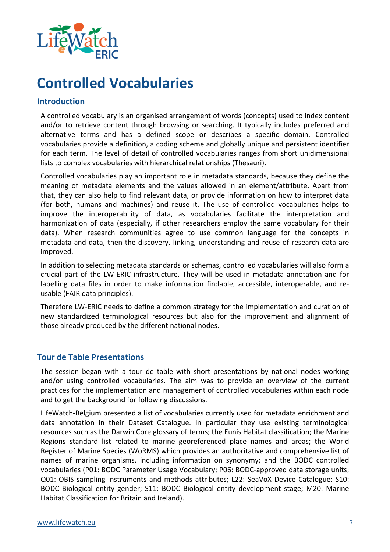

## **Controlled Vocabularies**

#### **Introduction**

A controlled vocabulary is an organised arrangement of words (concepts) used to index content and/or to retrieve content through browsing or searching. It typically includes preferred and alternative terms and has a defined scope or describes a specific domain. Controlled vocabularies provide a definition, a coding scheme and globally unique and persistent identifier for each term. The level of detail of controlled vocabularies ranges from short unidimensional lists to complex vocabularies with hierarchical relationships (Thesauri).

Controlled vocabularies play an important role in metadata standards, because they define the meaning of metadata elements and the values allowed in an element/attribute. Apart from that, they can also help to find relevant data, or provide information on how to interpret data (for both, humans and machines) and reuse it. The use of controlled vocabularies helps to improve the interoperability of data, as vocabularies facilitate the interpretation and harmonization of data (especially, if other researchers employ the same vocabulary for their data). When research communities agree to use common language for the concepts in metadata and data, then the discovery, linking, understanding and reuse of research data are improved.

In addition to selecting metadata standards or schemas, controlled vocabularies will also form a crucial part of the LW-ERIC infrastructure. They will be used in metadata annotation and for labelling data files in order to make information findable, accessible, interoperable, and reusable (FAIR data principles).

Therefore LW-ERIC needs to define a common strategy for the implementation and curation of new standardized terminological resources but also for the improvement and alignment of those already produced by the different national nodes.

#### **Tour de Table Presentations**

The session began with a tour de table with short presentations by national nodes working and/or using controlled vocabularies. The aim was to provide an overview of the current practices for the implementation and management of controlled vocabularies within each node and to get the background for following discussions.

LifeWatch-Belgium presented a list of vocabularies currently used for metadata enrichment and data annotation in their Dataset Catalogue. In particular they use existing terminological resources such as the Darwin Core glossary of terms; the Eunis Habitat classification; the Marine Regions standard list related to marine georeferenced place names and areas; the World Register of Marine Species (WoRMS) which provides an authoritative and comprehensive list of names of marine organisms, including information on synonymy; and the BODC controlled vocabularies (P01: BODC Parameter Usage Vocabulary; P06: BODC-approved data storage units; Q01: OBIS sampling instruments and methods attributes; L22: SeaVoX Device Catalogue; S10: BODC Biological entity gender; S11: BODC Biological entity development stage; M20: Marine Habitat Classification for Britain and Ireland).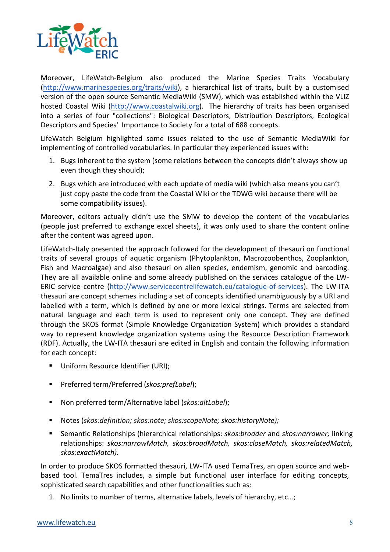

Moreover, LifeWatch-Belgium also produced the Marine Species Traits Vocabulary (http://www.marinespecies.org/traits/wiki), a hierarchical list of traits, built by a customised version of the open source Semantic MediaWiki (SMW), which was established within the VLIZ hosted Coastal Wiki (http://www.coastalwiki.org). The hierarchy of traits has been organised into a series of four "collections": Biological Descriptors, Distribution Descriptors, Ecological Descriptors and Species' Importance to Society for a total of 688 concepts.

LifeWatch Belgium highlighted some issues related to the use of Semantic MediaWiki for implementing of controlled vocabularies. In particular they experienced issues with:

- 1. Bugs inherent to the system (some relations between the concepts didn't always show up even though they should);
- 2. Bugs which are introduced with each update of media wiki (which also means you can't just copy paste the code from the Coastal Wiki or the TDWG wiki because there will be some compatibility issues).

Moreover, editors actually didn't use the SMW to develop the content of the vocabularies (people just preferred to exchange excel sheets), it was only used to share the content online after the content was agreed upon.

LifeWatch-Italy presented the approach followed for the development of thesauri on functional traits of several groups of aquatic organism (Phytoplankton, Macrozoobenthos, Zooplankton, Fish and Macroalgae) and also thesauri on alien species, endemism, genomic and barcoding. They are all available online and some already published on the services catalogue of the LW-ERIC service centre (http://www.servicecentrelifewatch.eu/catalogue-of-services). The LW-ITA thesauri are concept schemes including a set of concepts identified unambiguously by a URI and labelled with a term, which is defined by one or more lexical strings. Terms are selected from natural language and each term is used to represent only one concept. They are defined through the SKOS format (Simple Knowledge Organization System) which provides a standard way to represent knowledge organization systems using the Resource Description Framework (RDF). Actually, the LW-ITA thesauri are edited in English and contain the following information for each concept:

- Uniform Resource Identifier (URI);
- Preferred term/Preferred (*skos:prefLabel*);
- Non preferred term/Alternative label (skos:altLabel);
- Notes (skos:definition; skos:note; skos:scopeNote; skos:historyNote);
- Semantic Relationships (hierarchical relationships: *skos:broader* and *skos:narrower;* linking relationships: skos:narrowMatch, skos:broadMatch, skos:closeMatch, skos:relatedMatch, *skos:exactMatch).*

In order to produce SKOS formatted thesauri, LW-ITA used TemaTres, an open source and webbased tool. TemaTres includes, a simple but functional user interface for editing concepts, sophisticated search capabilities and other functionalities such as:

1. No limits to number of terms, alternative labels, levels of hierarchy, etc...;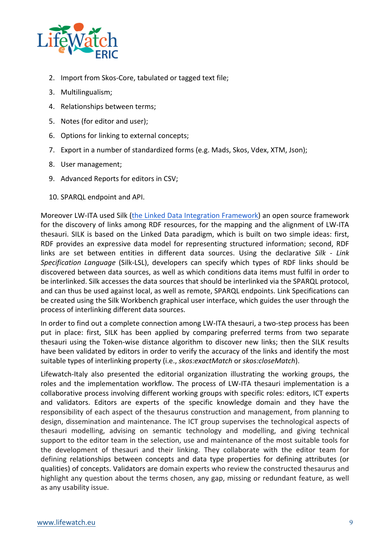

- 2. Import from Skos-Core, tabulated or tagged text file;
- 3. Multilingualism;
- 4. Relationships between terms;
- 5. Notes (for editor and user);
- 6. Options for linking to external concepts;
- 7. Export in a number of standardized forms (e.g. Mads, Skos, Vdex, XTM, Json);
- 8. User management;
- 9. Advanced Reports for editors in CSV;
- 10. SPARQL endpoint and API.

Moreover LW-ITA used Silk (the Linked Data Integration Framework) an open source framework for the discovery of links among RDF resources, for the mapping and the alignment of LW-ITA thesauri. SILK is based on the Linked Data paradigm, which is built on two simple ideas: first, RDF provides an expressive data model for representing structured information; second, RDF links are set between entities in different data sources. Using the declarative Silk - Link Specification Language (Silk-LSL), developers can specify which types of RDF links should be discovered between data sources, as well as which conditions data items must fulfil in order to be interlinked. Silk accesses the data sources that should be interlinked via the SPARQL protocol, and can thus be used against local, as well as remote, SPARQL endpoints. Link Specifications can be created using the Silk Workbench graphical user interface, which guides the user through the process of interlinking different data sources.

In order to find out a complete connection among LW-ITA thesauri, a two-step process has been put in place: first, SILK has been applied by comparing preferred terms from two separate thesauri using the Token-wise distance algorithm to discover new links; then the SILK results have been validated by editors in order to verify the accuracy of the links and identify the most suitable types of interlinking property (i.e., *skos:exactMatch* or *skos:closeMatch*).

Lifewatch-Italy also presented the editorial organization illustrating the working groups, the roles and the implementation workflow. The process of LW-ITA thesauri implementation is a collaborative process involving different working groups with specific roles: editors, ICT experts and validators. Editors are experts of the specific knowledge domain and they have the responsibility of each aspect of the thesaurus construction and management, from planning to design, dissemination and maintenance. The ICT group supervises the technological aspects of thesauri modelling, advising on semantic technology and modelling, and giving technical support to the editor team in the selection, use and maintenance of the most suitable tools for the development of thesauri and their linking. They collaborate with the editor team for defining relationships between concepts and data type properties for defining attributes (or qualities) of concepts. Validators are domain experts who review the constructed thesaurus and highlight any question about the terms chosen, any gap, missing or redundant feature, as well as any usability issue.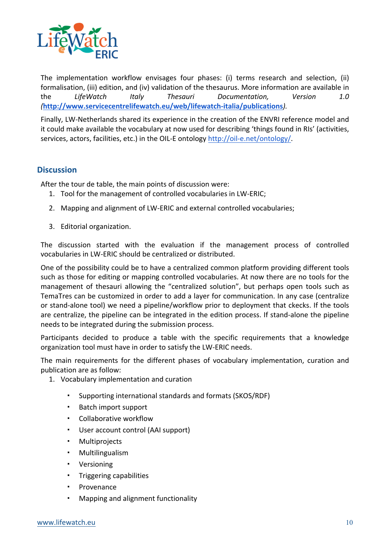

The implementation workflow envisages four phases: (i) terms research and selection, (ii) formalisation, (iii) edition, and (iv) validation of the thesaurus. More information are available in the LifeWatch Italy Thesauri Documentation, Version 1.0 *(***http://www.servicecentrelifewatch.eu/web/lifewatch-italia/publications***).*

Finally, LW-Netherlands shared its experience in the creation of the ENVRI reference model and it could make available the vocabulary at now used for describing 'things found in RIs' (activities, services, actors, facilities, etc.) in the OIL-E ontology http://oil-e.net/ontology/.

#### **Discussion**

After the tour de table, the main points of discussion were:

- 1. Tool for the management of controlled vocabularies in LW-ERIC;
- 2. Mapping and alignment of LW-ERIC and external controlled vocabularies;
- 3. Editorial organization.

The discussion started with the evaluation if the management process of controlled vocabularies in LW-ERIC should be centralized or distributed.

One of the possibility could be to have a centralized common platform providing different tools such as those for editing or mapping controlled vocabularies. At now there are no tools for the management of thesauri allowing the "centralized solution", but perhaps open tools such as TemaTres can be customized in order to add a layer for communication. In any case (centralize or stand-alone tool) we need a pipeline/workflow prior to deployment that ckecks. If the tools are centralize, the pipeline can be integrated in the edition process. If stand-alone the pipeline needs to be integrated during the submission process.

Participants decided to produce a table with the specific requirements that a knowledge organization tool must have in order to satisfy the LW-ERIC needs.

The main requirements for the different phases of vocabulary implementation, curation and publication are as follow:

- 1. Vocabulary implementation and curation
	- Supporting international standards and formats (SKOS/RDF)
	- Batch import support
	- Collaborative workflow
	- User account control (AAI support)
	- Multiprojects
	- Multilingualism
	- Versioning
	- Triggering capabilities
	- · Provenance
	- Mapping and alignment functionality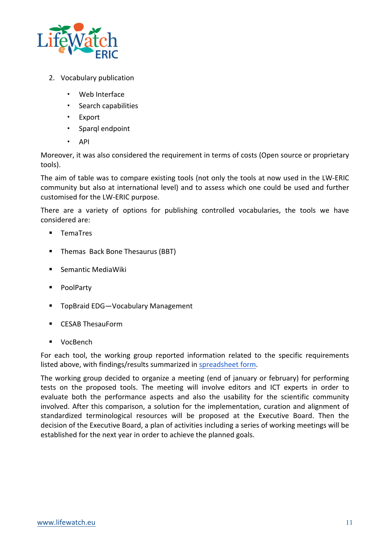

- 2. Vocabulary publication
	- Web Interface
	- Search capabilities
	- Export
	- Sparql endpoint
	- API

Moreover, it was also considered the requirement in terms of costs (Open source or proprietary tools).

The aim of table was to compare existing tools (not only the tools at now used in the LW-ERIC community but also at international level) and to assess which one could be used and further customised for the LW-ERIC purpose.

There are a variety of options for publishing controlled vocabularies, the tools we have considered are:

- TemaTres
- Themas Back Bone Thesaurus (BBT)
- Semantic MediaWiki
- PoolParty
- TopBraid EDG-Vocabulary Management
- CESAB ThesauForm
- VocBench

For each tool, the working group reported information related to the specific requirements listed above, with findings/results summarized in spreadsheet form.

The working group decided to organize a meeting (end of january or february) for performing tests on the proposed tools. The meeting will involve editors and ICT experts in order to evaluate both the performance aspects and also the usability for the scientific community involved. After this comparison, a solution for the implementation, curation and alignment of standardized terminological resources will be proposed at the Executive Board. Then the decision of the Executive Board, a plan of activities including a series of working meetings will be established for the next year in order to achieve the planned goals.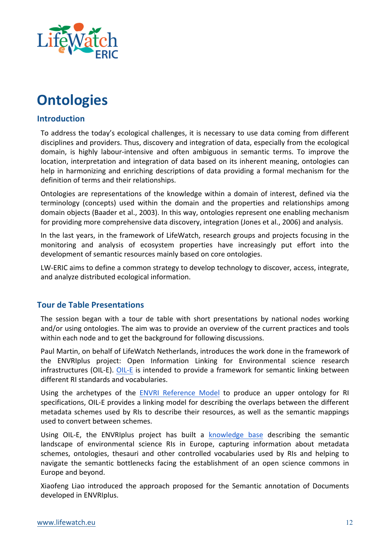

## **Ontologies**

#### **Introduction**

To address the today's ecological challenges, it is necessary to use data coming from different disciplines and providers. Thus, discovery and integration of data, especially from the ecological domain, is highly labour-intensive and often ambiguous in semantic terms. To improve the location, interpretation and integration of data based on its inherent meaning, ontologies can help in harmonizing and enriching descriptions of data providing a formal mechanism for the definition of terms and their relationships.

Ontologies are representations of the knowledge within a domain of interest, defined via the terminology (concepts) used within the domain and the properties and relationships among domain objects (Baader et al., 2003). In this way, ontologies represent one enabling mechanism for providing more comprehensive data discovery, integration (Jones et al., 2006) and analysis.

In the last years, in the framework of LifeWatch, research groups and projects focusing in the monitoring and analysis of ecosystem properties have increasingly put effort into the development of semantic resources mainly based on core ontologies.

LW-ERIC aims to define a common strategy to develop technology to discover, access, integrate, and analyze distributed ecological information.

#### **Tour de Table Presentations**

The session began with a tour de table with short presentations by national nodes working and/or using ontologies. The aim was to provide an overview of the current practices and tools within each node and to get the background for following discussions.

Paul Martin, on behalf of LifeWatch Netherlands, introduces the work done in the framework of the ENVRIplus project: Open Information Linking for Environmental science research infrastructures (OIL-E). OIL-E is intended to provide a framework for semantic linking between different RI standards and vocabularies.

Using the archetypes of the ENVRI Reference Model to produce an upper ontology for RI specifications, OIL-E provides a linking model for describing the overlaps between the different metadata schemes used by RIs to describe their resources, as well as the semantic mappings used to convert between schemes.

Using OIL-E, the ENVRIplus project has built a knowledge base describing the semantic landscape of environmental science RIs in Europe, capturing information about metadata schemes, ontologies, thesauri and other controlled vocabularies used by RIs and helping to navigate the semantic bottlenecks facing the establishment of an open science commons in Europe and beyond.

Xiaofeng Liao introduced the approach proposed for the Semantic annotation of Documents developed in ENVRIplus.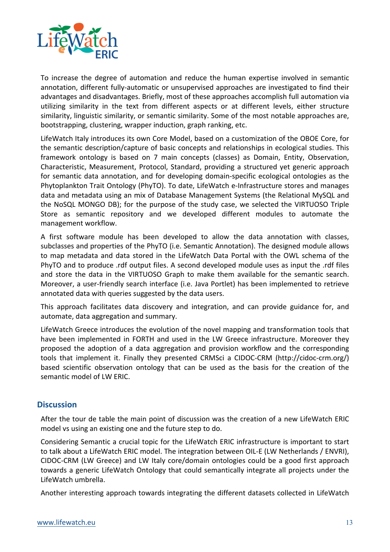

To increase the degree of automation and reduce the human expertise involved in semantic annotation, different fully-automatic or unsupervised approaches are investigated to find their advantages and disadvantages. Briefly, most of these approaches accomplish full automation via utilizing similarity in the text from different aspects or at different levels, either structure similarity, linguistic similarity, or semantic similarity. Some of the most notable approaches are, bootstrapping, clustering, wrapper induction, graph ranking, etc.

LifeWatch Italy introduces its own Core Model, based on a customization of the OBOE Core, for the semantic description/capture of basic concepts and relationships in ecological studies. This framework ontology is based on 7 main concepts (classes) as Domain, Entity, Observation, Characteristic, Measurement, Protocol, Standard, providing a structured yet generic approach for semantic data annotation, and for developing domain-specific ecological ontologies as the Phytoplankton Trait Ontology (PhyTO). To date, LifeWatch e-Infrastructure stores and manages data and metadata using an mix of Database Management Systems (the Relational MySQL and the NoSQL MONGO DB); for the purpose of the study case, we selected the VIRTUOSO Triple Store as semantic repository and we developed different modules to automate the management workflow.

A first software module has been developed to allow the data annotation with classes, subclasses and properties of the PhyTO (i.e. Semantic Annotation). The designed module allows to map metadata and data stored in the LifeWatch Data Portal with the OWL schema of the PhyTO and to produce rdf output files. A second developed module uses as input the rdf files and store the data in the VIRTUOSO Graph to make them available for the semantic search. Moreover, a user-friendly search interface (i.e. Java Portlet) has been implemented to retrieve annotated data with queries suggested by the data users.

This approach facilitates data discovery and integration, and can provide guidance for, and automate, data aggregation and summary.

LifeWatch Greece introduces the evolution of the novel mapping and transformation tools that have been implemented in FORTH and used in the LW Greece infrastructure. Moreover they proposed the adoption of a data aggregation and provision workflow and the corresponding tools that implement it. Finally they presented CRMSci a CIDOC-CRM (http://cidoc-crm.org/) based scientific observation ontology that can be used as the basis for the creation of the semantic model of LW ERIC.

#### **Discussion**

After the tour de table the main point of discussion was the creation of a new LifeWatch ERIC model vs using an existing one and the future step to do.

Considering Semantic a crucial topic for the LifeWatch ERIC infrastructure is important to start to talk about a LifeWatch ERIC model. The integration between OIL-E (LW Netherlands / ENVRI), CIDOC-CRM (LW Greece) and LW Italy core/domain ontologies could be a good first approach towards a generic LifeWatch Ontology that could semantically integrate all projects under the LifeWatch umbrella.

Another interesting approach towards integrating the different datasets collected in LifeWatch